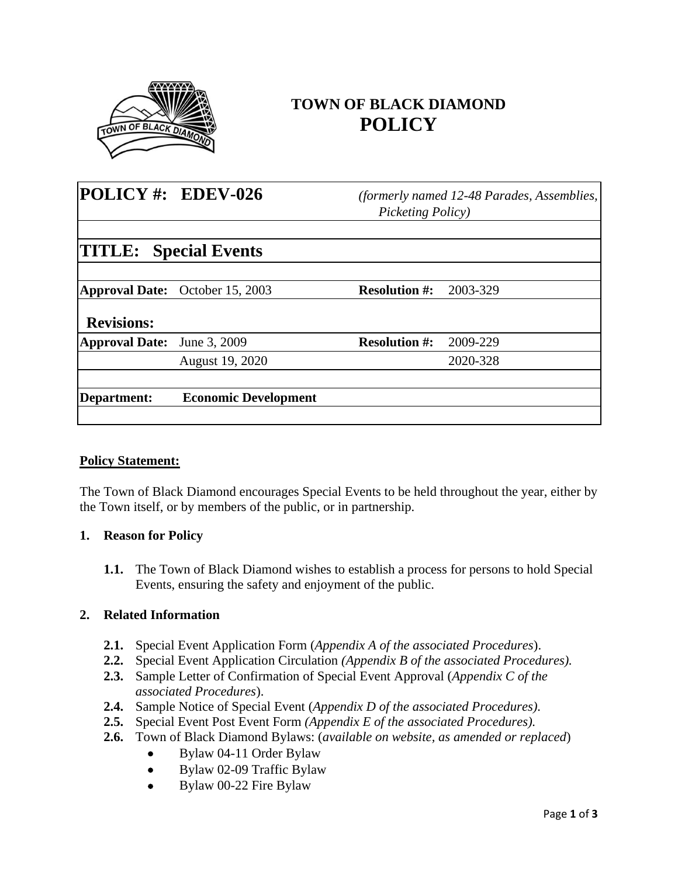

# **TOWN OF BLACK DIAMOND POLICY**

| POLICY#: EDEV-026            |                                        | (formerly named 12-48 Parades, Assemblies,<br>Picketing Policy) |          |
|------------------------------|----------------------------------------|-----------------------------------------------------------------|----------|
| <b>TITLE:</b> Special Events |                                        |                                                                 |          |
|                              | <b>Approval Date:</b> October 15, 2003 | <b>Resolution #:</b>                                            | 2003-329 |
| <b>Revisions:</b>            |                                        |                                                                 |          |
| <b>Approval Date:</b>        | June 3, 2009                           | <b>Resolution #:</b>                                            | 2009-229 |
|                              | August 19, 2020                        |                                                                 | 2020-328 |
| Department:                  | <b>Economic Development</b>            |                                                                 |          |
|                              |                                        |                                                                 |          |

#### **Policy Statement:**

The Town of Black Diamond encourages Special Events to be held throughout the year, either by the Town itself, or by members of the public, or in partnership.

## **1. Reason for Policy**

**1.1.** The Town of Black Diamond wishes to establish a process for persons to hold Special Events, ensuring the safety and enjoyment of the public.

#### **2. Related Information**

- **2.1.** Special Event Application Form (*Appendix A of the associated Procedures*).
- **2.2.** Special Event Application Circulation *(Appendix B of the associated Procedures).*
- **2.3.** Sample Letter of Confirmation of Special Event Approval (*Appendix C of the associated Procedures*).
- **2.4.** Sample Notice of Special Event (*Appendix D of the associated Procedures).*
- **2.5.** Special Event Post Event Form *(Appendix E of the associated Procedures).*
- **2.6.** Town of Black Diamond Bylaws: (*available on website, as amended or replaced*)
	- Bylaw 04-11 Order Bylaw
	- Bylaw 02-09 Traffic Bylaw
	- Bylaw 00-22 Fire Bylaw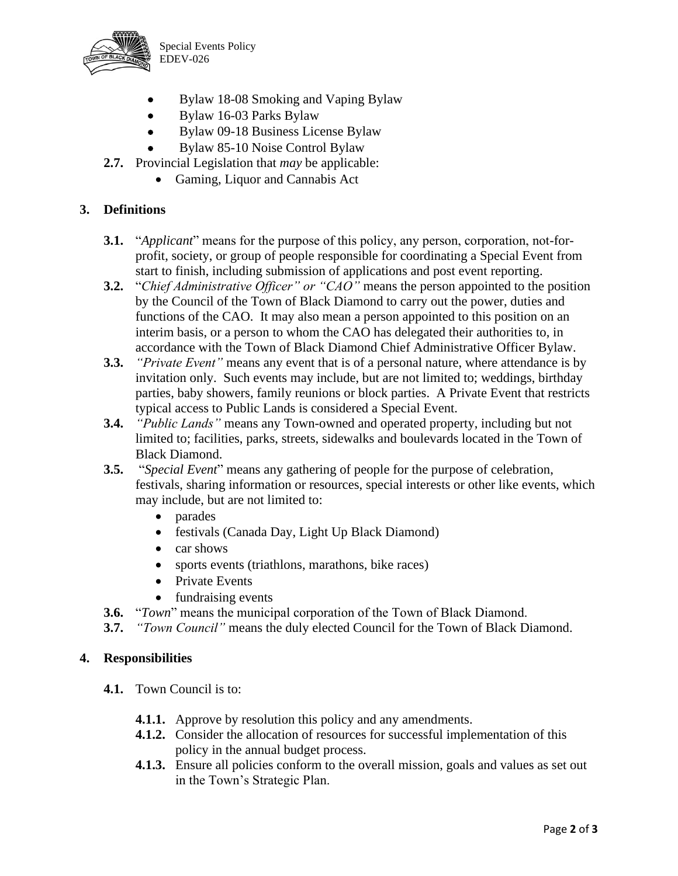

Special Events Policy EDEV-026

- Bylaw 18-08 Smoking and Vaping Bylaw
- Bylaw 16-03 Parks Bylaw
- Bylaw 09-18 Business License Bylaw
- Bylaw 85-10 Noise Control Bylaw
- **2.7.** Provincial Legislation that *may* be applicable:
	- Gaming, Liquor and Cannabis Act

## **3. Definitions**

- **3.1.** "*Applicant*" means for the purpose of this policy, any person, corporation, not-forprofit, society, or group of people responsible for coordinating a Special Event from start to finish, including submission of applications and post event reporting.
- **3.2.** "*Chief Administrative Officer" or "CAO"* means the person appointed to the position by the Council of the Town of Black Diamond to carry out the power, duties and functions of the CAO. It may also mean a person appointed to this position on an interim basis, or a person to whom the CAO has delegated their authorities to, in accordance with the Town of Black Diamond Chief Administrative Officer Bylaw.
- **3.3.** *"Private Event"* means any event that is of a personal nature, where attendance is by invitation only. Such events may include, but are not limited to; weddings, birthday parties, baby showers, family reunions or block parties. A Private Event that restricts typical access to Public Lands is considered a Special Event.
- **3.4.** *"Public Lands"* means any Town-owned and operated property, including but not limited to; facilities, parks, streets, sidewalks and boulevards located in the Town of Black Diamond.
- **3.5.** "*Special Event*" means any gathering of people for the purpose of celebration, festivals, sharing information or resources, special interests or other like events, which may include, but are not limited to:
	- parades
	- festivals (Canada Day, Light Up Black Diamond)
	- car shows
	- sports events (triathlons, marathons, bike races)
	- Private Events
	- fundraising events
- **3.6.** "*Town*" means the municipal corporation of the Town of Black Diamond.

**3.7.** *"Town Council"* means the duly elected Council for the Town of Black Diamond.

#### **4. Responsibilities**

- **4.1.** Town Council is to:
	- **4.1.1.** Approve by resolution this policy and any amendments.
	- **4.1.2.** Consider the allocation of resources for successful implementation of this policy in the annual budget process.
	- **4.1.3.** Ensure all policies conform to the overall mission, goals and values as set out in the Town's Strategic Plan.